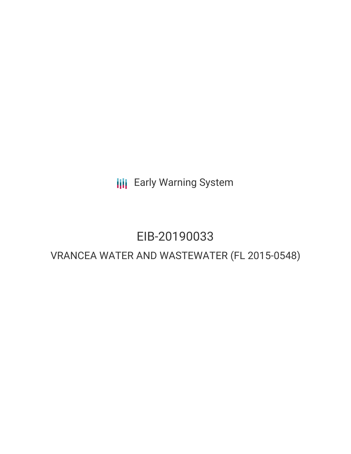**III** Early Warning System

# EIB-20190033

# VRANCEA WATER AND WASTEWATER (FL 2015-0548)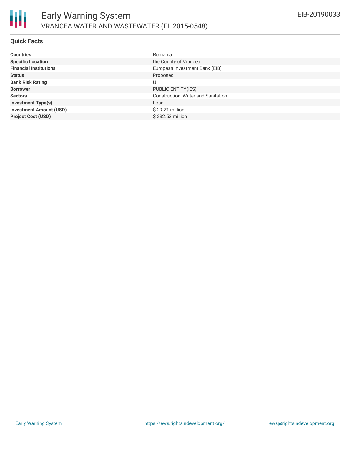

#### **Quick Facts**

| <b>Countries</b>               | Romania                            |
|--------------------------------|------------------------------------|
| <b>Specific Location</b>       | the County of Vrancea              |
| <b>Financial Institutions</b>  | European Investment Bank (EIB)     |
| <b>Status</b>                  | Proposed                           |
| <b>Bank Risk Rating</b>        | U                                  |
| <b>Borrower</b>                | PUBLIC ENTITY(IES)                 |
| <b>Sectors</b>                 | Construction, Water and Sanitation |
| <b>Investment Type(s)</b>      | Loan                               |
| <b>Investment Amount (USD)</b> | $$29.21$ million                   |
| <b>Project Cost (USD)</b>      | \$232.53 million                   |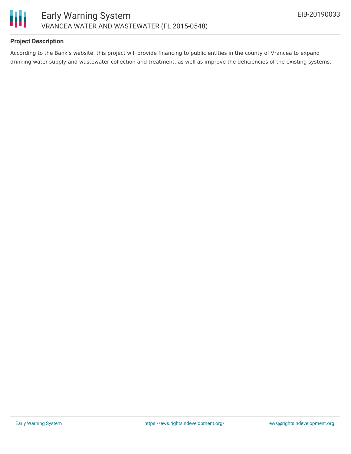

## **Project Description**

According to the Bank's website, this project will provide financing to public entities in the county of Vrancea to expand drinking water supply and wastewater collection and treatment, as well as improve the deficiencies of the existing systems.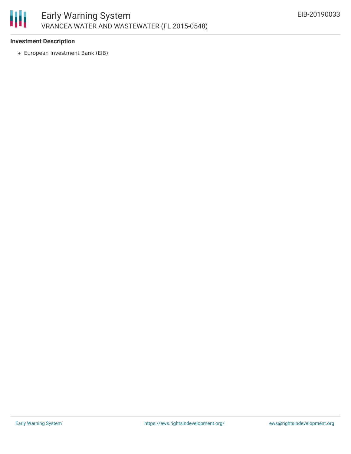

### **Investment Description**

European Investment Bank (EIB)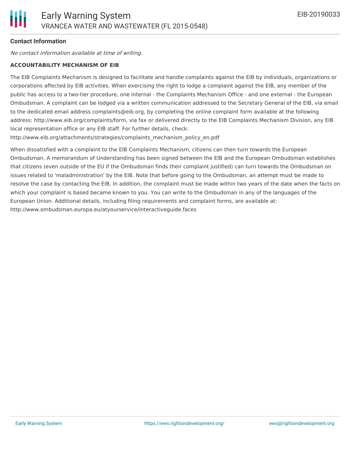## **Contact Information**

No contact information available at time of writing.

#### **ACCOUNTABILITY MECHANISM OF EIB**

The EIB Complaints Mechanism is designed to facilitate and handle complaints against the EIB by individuals, organizations or corporations affected by EIB activities. When exercising the right to lodge a complaint against the EIB, any member of the public has access to a two-tier procedure, one internal - the Complaints Mechanism Office - and one external - the European Ombudsman. A complaint can be lodged via a written communication addressed to the Secretary General of the EIB, via email to the dedicated email address complaints@eib.org, by completing the online complaint form available at the following address: http://www.eib.org/complaints/form, via fax or delivered directly to the EIB Complaints Mechanism Division, any EIB local representation office or any EIB staff. For further details, check:

http://www.eib.org/attachments/strategies/complaints\_mechanism\_policy\_en.pdf

When dissatisfied with a complaint to the EIB Complaints Mechanism, citizens can then turn towards the European Ombudsman. A memorandum of Understanding has been signed between the EIB and the European Ombudsman establishes that citizens (even outside of the EU if the Ombudsman finds their complaint justified) can turn towards the Ombudsman on issues related to 'maladministration' by the EIB. Note that before going to the Ombudsman, an attempt must be made to resolve the case by contacting the EIB. In addition, the complaint must be made within two years of the date when the facts on which your complaint is based became known to you. You can write to the Ombudsman in any of the languages of the European Union. Additional details, including filing requirements and complaint forms, are available at: http://www.ombudsman.europa.eu/atyourservice/interactiveguide.faces